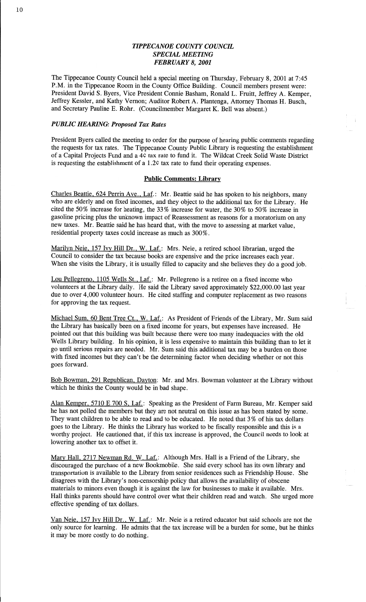# *TIPPECANOE COUNTY COUNCIL SPECML MEETING FEBRUARY* 8, *2001*

The Tippecanoe County Council held a special meeting on Thursday, February 8, 2001 at **7:45**  P.M. in the Tippecanoe Room in the County Office Building. Council members present were: President David S. Byers, Vice President Connie **Basham,** Ronald L. Fruitt, Jeffrey A. Kemper, Jeffrey Kessler, and Kathy Vernon; Auditor Robert A. Plantenga, Attorney Thomas H. **Busch,**  and Secretary **Pauline** E. Rohr. (Councilmember Margaret K. Bell was absent.)

# *PUBLIC HEARING: Proposed* Tax *Rates*

President Byers called the meeting to order for the purpose of hearing public comments regarding the requests for tax rates. The Tippecanoe County Public Library is requesting the establishment of a Capital Projects Fund and a 4C tax rate to fund it. The Wildcat Creek Solid Waste District is requesting the establishment of a 1.2c tax rate to fund their operating expenses.

### Public **Comments:** Library

Charles Beattie, 624 Perrin Ave., Laf.: Mr. Beattie said he has spoken to his neighbors, many who are elderly and on fixed **incomes,** and they object to the additional tax for the Library. He cited the 50% increase for heating, the 33% increase for water, the 30% to 50% increase in gasoline pricing plus the unknown impact of Reassessment as reasons for **a** moratorium on any new taxes. Mr. Beattie said he has heard that, with the move to assessing at market value, residential property taxes could **increase** as much as 300%.

Marilyn Neie, 157 Ivy Hill Dr., W. Laf.: Mrs. Neie, a retired school librarian, urged the Council to consider the tax because books are expensive and the price increases each year. When she visits the Library, it is usually filled to capacity and she believes they do a good job.

Lou Pellegreno, 1105 Wells St., Laf.: Mr. Pellegreno is **a** retiree on a fixed income who volunteers at the Library daily. He said the Library saved approximately \$22,000.00 last year due to over 4,000 volunteer hours. He cited staffing and computer replacement as two reasons for approving the tax request. **3** 

Michael Sum, 60 Bent Tree Ct., W. Laf.: As President of Friends of the Library, Mr. Sum said the Library has basically been on **a** fixed **income** for years, but expenses have increased. He pointed out **that** this building was built because there were too many inadequacies with the old Wells Library building. In his opinion, it is less **expensive** to maintain this building than to let it go until serious repairs are needed. Mr. Sum said this additional tax may be a burden on those with fixed incomes but they can't be the determining factor when deciding whether or not this goes forward.

Bob Bowman, 291 Republican, Dayton: Mr. and Mrs. Bowman volunteer at the Library without which he **thinks** the County would be in bad shape.

Alan Kemper, 5710 E 700 S, Laf.: Speaking as the President of Farm Bureau, Mr. Kemper said he has not polled the members but they are not neutral on **this** issue as has been stated by some. They want children to be able to read and to be educated. He noted that 3 *%* of his tax dollars goes to the Library. He thinks the Library has worked to be fiscally responsible and this is a worthy project. He cautioned that, if this tax increase is approved, the Council needs to look at lowering another tax to offset it.

Mary Hall, **2717** Newman Rd. W. Laf.: **Although** Mrs. Hall is a Friend of the Library, she discouraged the purchase of a new Bookmobile. She **said** every school has its own library and transportation is available to the Library from senior residences such as Friendship House. She disagrees with the Library's non-censorship policy that allows the availability of obscene materials to minors even though it is **against** the law for businesses to make it available. Mrs. **Hall** thinks parents **should** have control over what their children read and watch. She urged more effective spending of tax dollars.

Van Neie, 157 Ivy **Hill** Dr., W. Laf.: Mr. Neie is **a** retired educator but **said** schools are not the only source for learning. He admits that the tax increase will be a burden for some, but he thinks it may be more costly to do nothing.